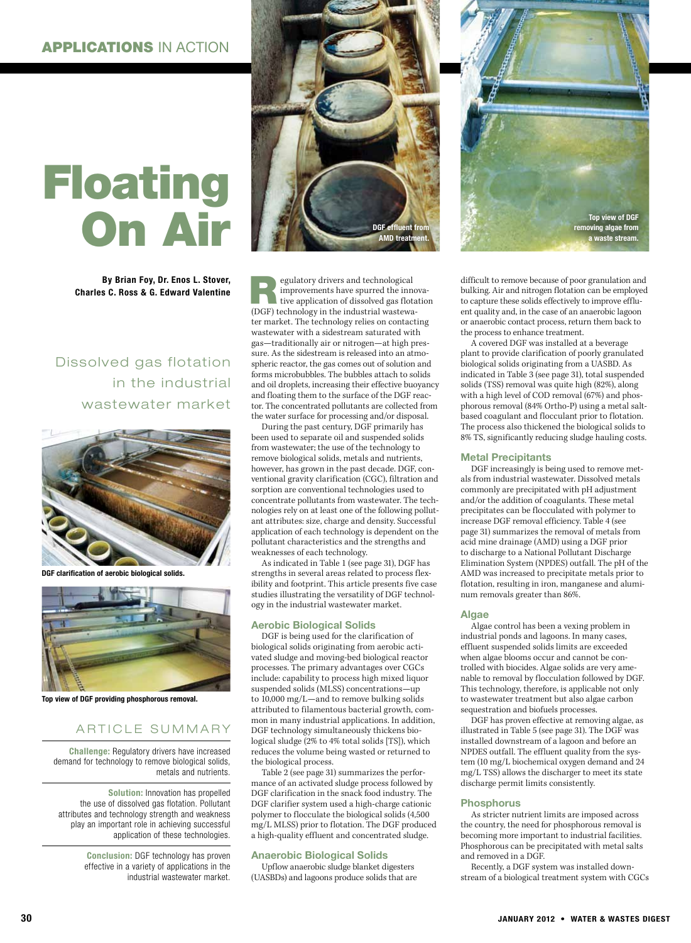# Floating On Air

By Brian Foy, Dr. Enos L. Stover, Charles C. Ross & G. Edward Valentine

## Dissolved gas flotation in the industrial wastewater market



DGF clarification of aerobic biological solids.



Top view of DGF providing phosphorous removal.

### ARTICLE SUMMARY

Challenge: Regulatory drivers have increased demand for technology to remove biological solids, metals and nutrients.

Solution: Innovation has propelled the use of dissolved gas flotation. Pollutant attributes and technology strength and weakness play an important role in achieving successful application of these technologies.

> Conclusion: DGF technology has proven effective in a variety of applications in the industrial wastewater market.



Equilatory drivers and technological<br>improvements have spurred the inner<br>tive application of dissolved gas flots<br>(OCE) technology in the industrial vectors improvements have spurred the innovative application of dissolved gas flotation (DGF) technology in the industrial wastewater market. The technology relies on contacting wastewater with a sidestream saturated with gas—traditionally air or nitrogen—at high pressure. As the sidestream is released into an atmospheric reactor, the gas comes out of solution and forms microbubbles. The bubbles attach to solids and oil droplets, increasing their effective buoyancy and floating them to the surface of the DGF reactor. The concentrated pollutants are collected from the water surface for processing and/or disposal.

During the past century, DGF primarily has been used to separate oil and suspended solids from wastewater; the use of the technology to remove biological solids, metals and nutrients, however, has grown in the past decade. DGF, conventional gravity clarification (CGC), filtration and sorption are conventional technologies used to concentrate pollutants from wastewater. The technologies rely on at least one of the following pollutant attributes: size, charge and density. Successful application of each technology is dependent on the pollutant characteristics and the strengths and weaknesses of each technology.

As indicated in Table 1 (see page 31), DGF has strengths in several areas related to process flexibility and footprint. This article presents five case studies illustrating the versatility of DGF technology in the industrial wastewater market.

#### Aerobic Biological Solids

DGF is being used for the clarification of biological solids originating from aerobic activated sludge and moving-bed biological reactor processes. The primary advantages over CGCs include: capability to process high mixed liquor suspended solids (MLSS) concentrations—up to 10,000 mg/L—and to remove bulking solids attributed to filamentous bacterial growth, common in many industrial applications. In addition, DGF technology simultaneously thickens biological sludge (2% to 4% total solids [TS]), which reduces the volume being wasted or returned to the biological process.

Table 2 (see page 31) summarizes the performance of an activated sludge process followed by DGF clarification in the snack food industry. The DGF clarifier system used a high-charge cationic polymer to flocculate the biological solids (4,500 mg/L MLSS) prior to flotation. The DGF produced a high-quality effluent and concentrated sludge.

#### Anaerobic Biological Solids

Upflow anaerobic sludge blanket digesters (UASBDs) and lagoons produce solids that are



difficult to remove because of poor granulation and bulking. Air and nitrogen flotation can be employed to capture these solids effectively to improve effluent quality and, in the case of an anaerobic lagoon or anaerobic contact process, return them back to the process to enhance treatment.

A covered DGF was installed at a beverage plant to provide clarification of poorly granulated biological solids originating from a UASBD. As indicated in Table 3 (see page 31), total suspended solids (TSS) removal was quite high (82%), along with a high level of COD removal (67%) and phosphorous removal (84% Ortho-P) using a metal saltbased coagulant and flocculant prior to flotation. The process also thickened the biological solids to 8% TS, significantly reducing sludge hauling costs.

#### Metal Precipitants

DGF increasingly is being used to remove metals from industrial wastewater. Dissolved metals commonly are precipitated with pH adjustment and/or the addition of coagulants. These metal precipitates can be flocculated with polymer to increase DGF removal efficiency. Table 4 (see page 31) summarizes the removal of metals from acid mine drainage (AMD) using a DGF prior to discharge to a National Pollutant Discharge Elimination System (NPDES) outfall. The pH of the AMD was increased to precipitate metals prior to flotation, resulting in iron, manganese and aluminum removals greater than 86%.

#### Algae

Algae control has been a vexing problem in industrial ponds and lagoons. In many cases, effluent suspended solids limits are exceeded when algae blooms occur and cannot be controlled with biocides. Algae solids are very amenable to removal by flocculation followed by DGF. This technology, therefore, is applicable not only to wastewater treatment but also algae carbon sequestration and biofuels processes.

DGF has proven effective at removing algae, as illustrated in Table 5 (see page 31). The DGF was installed downstream of a lagoon and before an NPDES outfall. The effluent quality from the system (10 mg/L biochemical oxygen demand and 24 mg/L TSS) allows the discharger to meet its state discharge permit limits consistently.

#### **Phosphorus**

As stricter nutrient limits are imposed across the country, the need for phosphorous removal is becoming more important to industrial facilities. Phosphorous can be precipitated with metal salts and removed in a DGF.

Recently, a DGF system was installed downstream of a biological treatment system with CGCs